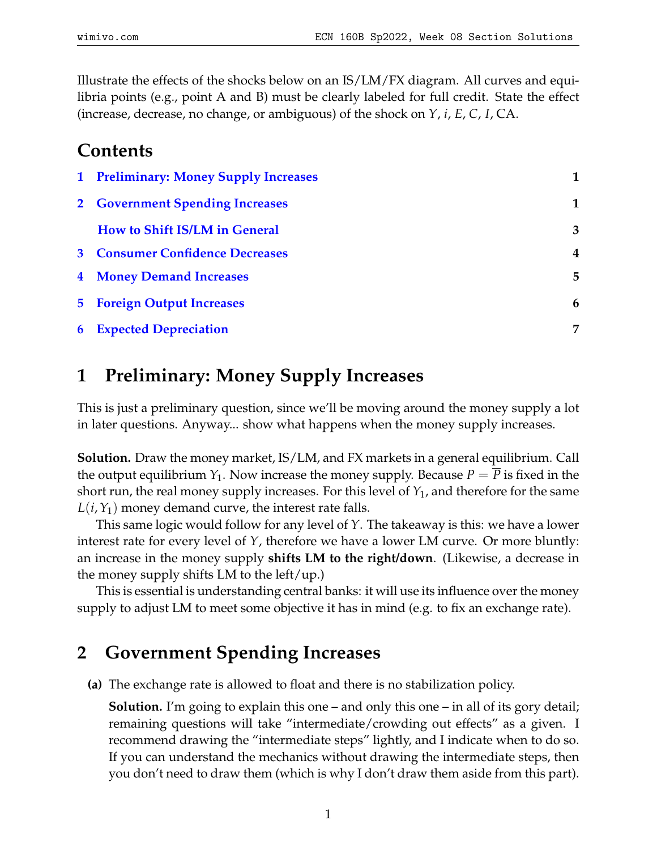Illustrate the effects of the shocks below on an IS/LM/FX diagram. All curves and equilibria points (e.g., point A and B) must be clearly labeled for full credit. State the effect (increase, decrease, no change, or ambiguous) of the shock on *Y*, *i*, *E*, *C*, *I*, CA.

#### **Contents**

| 1 Preliminary: Money Supply Increases  | 1              |
|----------------------------------------|----------------|
| 2 Government Spending Increases        | 1              |
| How to Shift IS/LM in General          | 3              |
| <b>3</b> Consumer Confidence Decreases | $\overline{4}$ |
| <b>4 Money Demand Increases</b>        | 5              |
| <b>5</b> Foreign Output Increases      | 6              |
| <b>6</b> Expected Depreciation         | 7              |

## <span id="page-0-0"></span>**1 Preliminary: Money Supply Increases**

This is just a preliminary question, since we'll be moving around the money supply a lot in later questions. Anyway... show what happens when the money supply increases.

**Solution.** Draw the money market, IS/LM, and FX markets in a general equilibrium. Call the output equilibrium  $Y_1$ . Now increase the money supply. Because  $P = P$  is fixed in the short run, the real money supply increases. For this level of *Y*1, and therefore for the same  $L(i, Y_1)$  money demand curve, the interest rate falls.

This same logic would follow for any level of *Y*. The takeaway is this: we have a lower interest rate for every level of *Y*, therefore we have a lower LM curve. Or more bluntly: an increase in the money supply **shifts LM to the right/down**. (Likewise, a decrease in the money supply shifts LM to the left/up.)

This is essential is understanding central banks: it will use its influence over the money supply to adjust LM to meet some objective it has in mind (e.g. to fix an exchange rate).

### <span id="page-0-1"></span>**2 Government Spending Increases**

**(a)** The exchange rate is allowed to float and there is no stabilization policy.

**Solution.** I'm going to explain this one – and only this one – in all of its gory detail; remaining questions will take "intermediate/crowding out effects" as a given. I recommend drawing the "intermediate steps" lightly, and I indicate when to do so. If you can understand the mechanics without drawing the intermediate steps, then you don't need to draw them (which is why I don't draw them aside from this part).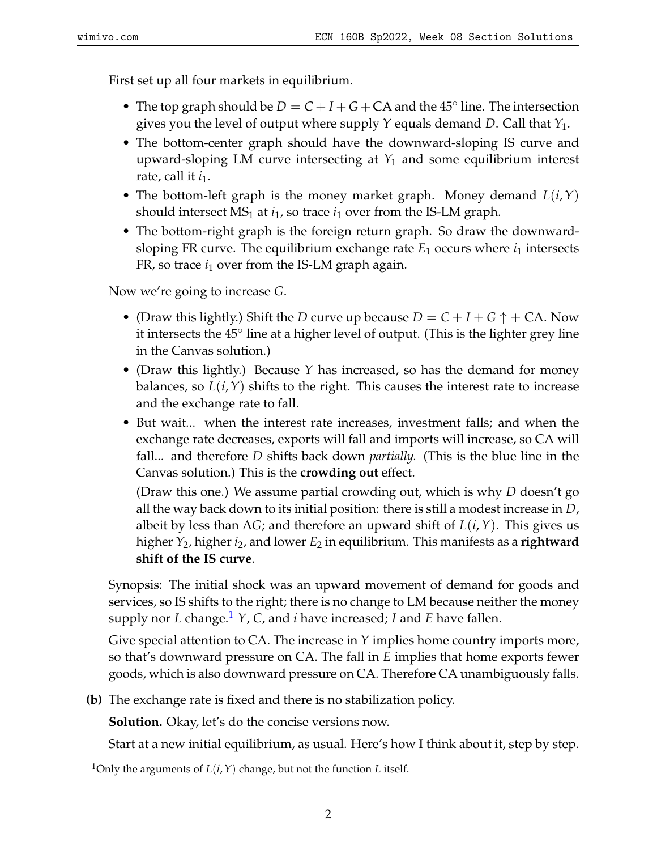First set up all four markets in equilibrium.

- The top graph should be  $D = C + I + G + CA$  and the 45 $\degree$  line. The intersection gives you the level of output where supply *Y* equals demand *D*. Call that *Y*1.
- The bottom-center graph should have the downward-sloping IS curve and upward-sloping LM curve intersecting at *Y*<sup>1</sup> and some equilibrium interest rate, call it *i*<sub>1</sub>.
- The bottom-left graph is the money market graph. Money demand *L*(*i*,*Y*) should intersect  $MS_1$  at  $i_1$ , so trace  $i_1$  over from the IS-LM graph.
- The bottom-right graph is the foreign return graph. So draw the downwardsloping FR curve. The equilibrium exchange rate  $E_1$  occurs where  $i_1$  intersects FR, so trace  $i_1$  over from the IS-LM graph again.

Now we're going to increase *G*.

- (Draw this lightly.) Shift the *D* curve up because  $D = C + I + G \uparrow + CA$ . Now it intersects the 45° line at a higher level of output. (This is the lighter grey line in the Canvas solution.)
- (Draw this lightly.) Because *Y* has increased, so has the demand for money balances, so  $L(i, Y)$  shifts to the right. This causes the interest rate to increase and the exchange rate to fall.
- But wait... when the interest rate increases, investment falls; and when the exchange rate decreases, exports will fall and imports will increase, so CA will fall... and therefore *D* shifts back down *partially.* (This is the blue line in the Canvas solution.) This is the **crowding out** effect.

(Draw this one.) We assume partial crowding out, which is why *D* doesn't go all the way back down to its initial position: there is still a modest increase in *D*, albeit by less than ∆*G*; and therefore an upward shift of *L*(*i*,*Y*). This gives us higher *Y*2, higher *i*2, and lower *E*<sup>2</sup> in equilibrium. This manifests as a **rightward shift of the IS curve**.

Synopsis: The initial shock was an upward movement of demand for goods and services, so IS shifts to the right; there is no change to LM because neither the money supply nor *L* change.<sup>[1](#page-1-0)</sup> *Y*, *C*, and *i* have increased; *I* and *E* have fallen.

Give special attention to CA. The increase in *Y* implies home country imports more, so that's downward pressure on CA. The fall in *E* implies that home exports fewer goods, which is also downward pressure on CA. Therefore CA unambiguously falls.

**(b)** The exchange rate is fixed and there is no stabilization policy.

**Solution.** Okay, let's do the concise versions now.

Start at a new initial equilibrium, as usual. Here's how I think about it, step by step.

<span id="page-1-0"></span><sup>&</sup>lt;sup>1</sup>Only the arguments of  $L(i, Y)$  change, but not the function *L* itself.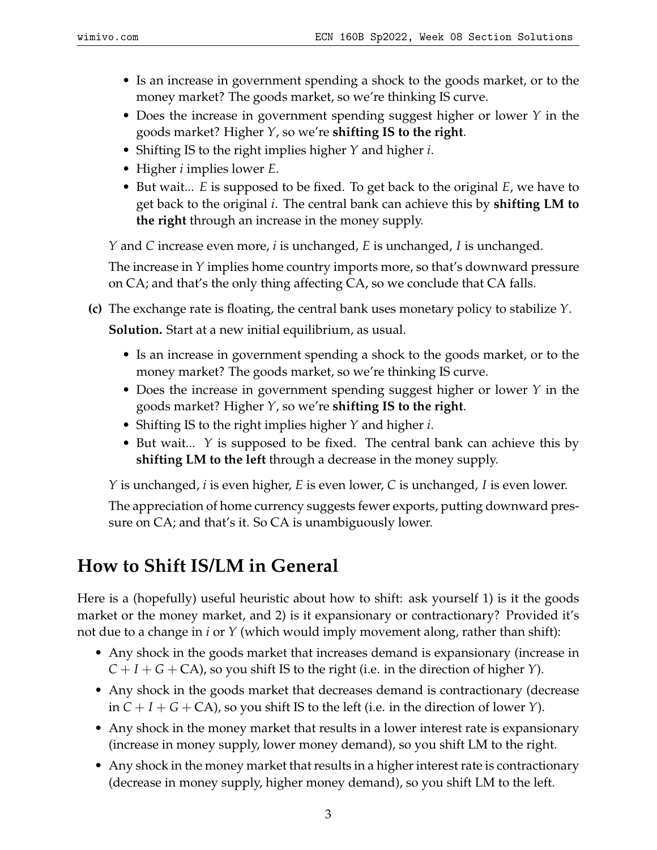- Is an increase in government spending a shock to the goods market, or to the money market? The goods market, so we're thinking IS curve.
- Does the increase in government spending suggest higher or lower *Y* in the goods market? Higher *Y*, so we're **shifting IS to the right**.
- Shifting IS to the right implies higher *Y* and higher *i*.
- Higher *i* implies lower *E*.
- But wait... *E* is supposed to be fixed. To get back to the original *E*, we have to get back to the original *i*. The central bank can achieve this by **shifting LM to the right** through an increase in the money supply.

*Y* and *C* increase even more, *i* is unchanged, *E* is unchanged, *I* is unchanged.

The increase in *Y* implies home country imports more, so that's downward pressure on CA; and that's the only thing affecting CA, so we conclude that CA falls.

- **(c)** The exchange rate is floating, the central bank uses monetary policy to stabilize *Y*. **Solution.** Start at a new initial equilibrium, as usual.
	- Is an increase in government spending a shock to the goods market, or to the money market? The goods market, so we're thinking IS curve.
	- Does the increase in government spending suggest higher or lower *Y* in the goods market? Higher *Y*, so we're **shifting IS to the right**.
	- Shifting IS to the right implies higher *Y* and higher *i*.
	- But wait... *Y* is supposed to be fixed. The central bank can achieve this by **shifting LM to the left** through a decrease in the money supply.

*Y* is unchanged, *i* is even higher, *E* is even lower, *C* is unchanged, *I* is even lower.

The appreciation of home currency suggests fewer exports, putting downward pressure on CA; and that's it. So CA is unambiguously lower.

# <span id="page-2-0"></span>**How to Shift IS/LM in General**

Here is a (hopefully) useful heuristic about how to shift: ask yourself 1) is it the goods market or the money market, and 2) is it expansionary or contractionary? Provided it's not due to a change in *i* or *Y* (which would imply movement along, rather than shift):

- Any shock in the goods market that increases demand is expansionary (increase in  $C + I + G + CA$ , so you shift IS to the right (i.e. in the direction of higher *Y*).
- Any shock in the goods market that decreases demand is contractionary (decrease in  $C + I + G + CA$ , so you shift IS to the left (i.e. in the direction of lower *Y*).
- Any shock in the money market that results in a lower interest rate is expansionary (increase in money supply, lower money demand), so you shift LM to the right.
- Any shock in the money market that results in a higher interest rate is contractionary (decrease in money supply, higher money demand), so you shift LM to the left.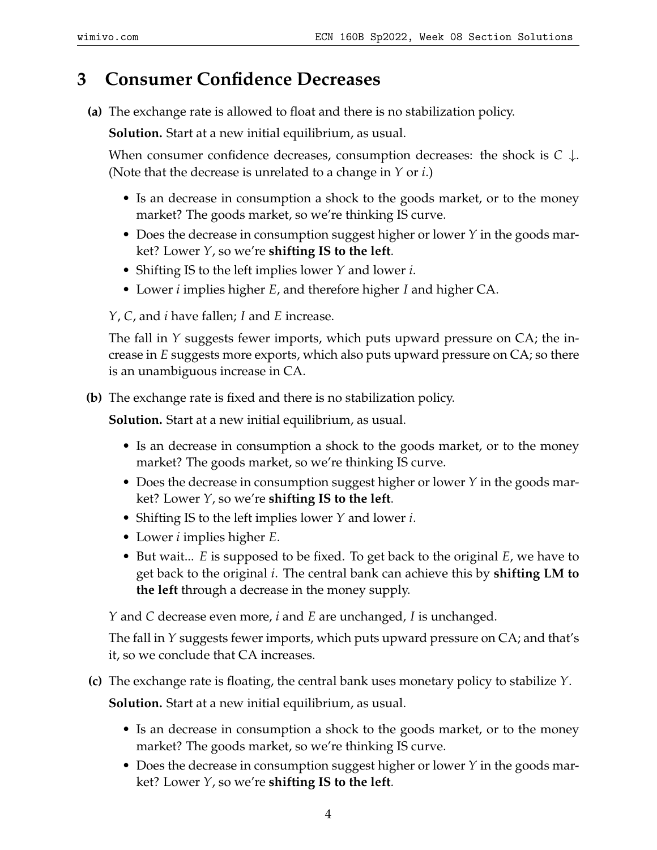### <span id="page-3-0"></span>**3 Consumer Confidence Decreases**

**(a)** The exchange rate is allowed to float and there is no stabilization policy.

**Solution.** Start at a new initial equilibrium, as usual.

When consumer confidence decreases, consumption decreases: the shock is *C* ↓. (Note that the decrease is unrelated to a change in *Y* or *i*.)

- Is an decrease in consumption a shock to the goods market, or to the money market? The goods market, so we're thinking IS curve.
- Does the decrease in consumption suggest higher or lower *Y* in the goods market? Lower *Y*, so we're **shifting IS to the left**.
- Shifting IS to the left implies lower *Y* and lower *i*.
- Lower *i* implies higher *E*, and therefore higher *I* and higher CA.

*Y*, *C*, and *i* have fallen; *I* and *E* increase.

The fall in *Y* suggests fewer imports, which puts upward pressure on CA; the increase in *E* suggests more exports, which also puts upward pressure on CA; so there is an unambiguous increase in CA.

**(b)** The exchange rate is fixed and there is no stabilization policy.

**Solution.** Start at a new initial equilibrium, as usual.

- Is an decrease in consumption a shock to the goods market, or to the money market? The goods market, so we're thinking IS curve.
- Does the decrease in consumption suggest higher or lower *Y* in the goods market? Lower *Y*, so we're **shifting IS to the left**.
- Shifting IS to the left implies lower *Y* and lower *i*.
- Lower *i* implies higher *E*.
- But wait... *E* is supposed to be fixed. To get back to the original *E*, we have to get back to the original *i*. The central bank can achieve this by **shifting LM to the left** through a decrease in the money supply.

*Y* and *C* decrease even more, *i* and *E* are unchanged, *I* is unchanged.

The fall in *Y* suggests fewer imports, which puts upward pressure on CA; and that's it, so we conclude that CA increases.

**(c)** The exchange rate is floating, the central bank uses monetary policy to stabilize *Y*.

**Solution.** Start at a new initial equilibrium, as usual.

- Is an decrease in consumption a shock to the goods market, or to the money market? The goods market, so we're thinking IS curve.
- Does the decrease in consumption suggest higher or lower *Y* in the goods market? Lower *Y*, so we're **shifting IS to the left**.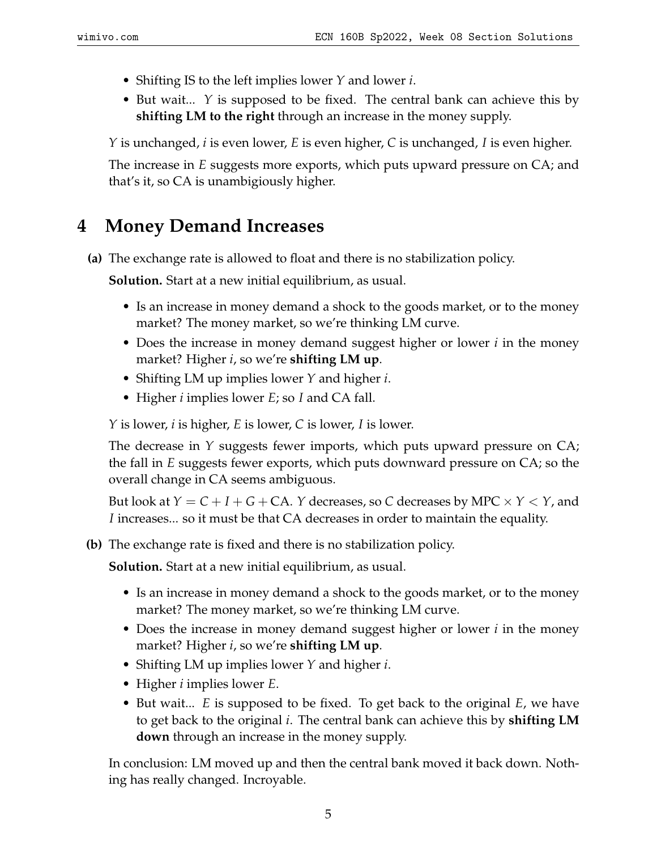- Shifting IS to the left implies lower *Y* and lower *i*.
- But wait... *Y* is supposed to be fixed. The central bank can achieve this by **shifting LM to the right** through an increase in the money supply.

*Y* is unchanged, *i* is even lower, *E* is even higher, *C* is unchanged, *I* is even higher.

The increase in *E* suggests more exports, which puts upward pressure on CA; and that's it, so CA is unambigiously higher.

## <span id="page-4-0"></span>**4 Money Demand Increases**

**(a)** The exchange rate is allowed to float and there is no stabilization policy.

**Solution.** Start at a new initial equilibrium, as usual.

- Is an increase in money demand a shock to the goods market, or to the money market? The money market, so we're thinking LM curve.
- Does the increase in money demand suggest higher or lower *i* in the money market? Higher *i*, so we're **shifting LM up**.
- Shifting LM up implies lower *Y* and higher *i*.
- Higher *i* implies lower *E*; so *I* and CA fall.

*Y* is lower, *i* is higher, *E* is lower, *C* is lower, *I* is lower.

The decrease in *Y* suggests fewer imports, which puts upward pressure on CA; the fall in *E* suggests fewer exports, which puts downward pressure on CA; so the overall change in CA seems ambiguous.

But look at  $Y = C + I + G + CA$ . *Y* decreases, so *C* decreases by MPC  $\times$  *Y*  $\lt$  *Y*, and *I* increases... so it must be that CA decreases in order to maintain the equality.

**(b)** The exchange rate is fixed and there is no stabilization policy.

**Solution.** Start at a new initial equilibrium, as usual.

- Is an increase in money demand a shock to the goods market, or to the money market? The money market, so we're thinking LM curve.
- Does the increase in money demand suggest higher or lower *i* in the money market? Higher *i*, so we're **shifting LM up**.
- Shifting LM up implies lower *Y* and higher *i*.
- Higher *i* implies lower *E*.
- But wait... *E* is supposed to be fixed. To get back to the original *E*, we have to get back to the original *i*. The central bank can achieve this by **shifting LM down** through an increase in the money supply.

In conclusion: LM moved up and then the central bank moved it back down. Nothing has really changed. Incroyable.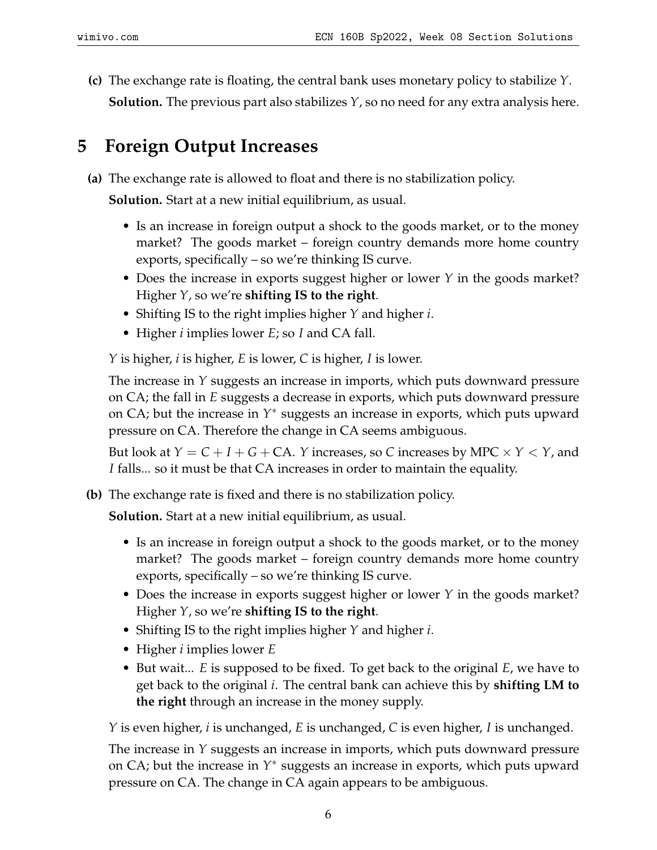**(c)** The exchange rate is floating, the central bank uses monetary policy to stabilize *Y*. **Solution.** The previous part also stabilizes *Y*, so no need for any extra analysis here.

## <span id="page-5-0"></span>**5 Foreign Output Increases**

**(a)** The exchange rate is allowed to float and there is no stabilization policy.

**Solution.** Start at a new initial equilibrium, as usual.

- Is an increase in foreign output a shock to the goods market, or to the money market? The goods market – foreign country demands more home country exports, specifically – so we're thinking IS curve.
- Does the increase in exports suggest higher or lower *Y* in the goods market? Higher *Y*, so we're **shifting IS to the right**.
- Shifting IS to the right implies higher *Y* and higher *i*.
- Higher *i* implies lower *E*; so *I* and CA fall.

*Y* is higher, *i* is higher, *E* is lower, *C* is higher, *I* is lower.

The increase in *Y* suggests an increase in imports, which puts downward pressure on CA; the fall in *E* suggests a decrease in exports, which puts downward pressure on CA; but the increase in Y<sup>\*</sup> suggests an increase in exports, which puts upward pressure on CA. Therefore the change in CA seems ambiguous.

But look at  $Y = C + I + G + CA$ . *Y* increases, so *C* increases by MPC  $\times$  *Y*  $\lt$  *Y*, and *I* falls... so it must be that CA increases in order to maintain the equality.

**(b)** The exchange rate is fixed and there is no stabilization policy.

**Solution.** Start at a new initial equilibrium, as usual.

- Is an increase in foreign output a shock to the goods market, or to the money market? The goods market – foreign country demands more home country exports, specifically – so we're thinking IS curve.
- Does the increase in exports suggest higher or lower *Y* in the goods market? Higher *Y*, so we're **shifting IS to the right**.
- Shifting IS to the right implies higher *Y* and higher *i*.
- Higher *i* implies lower *E*
- But wait... *E* is supposed to be fixed. To get back to the original *E*, we have to get back to the original *i*. The central bank can achieve this by **shifting LM to the right** through an increase in the money supply.

*Y* is even higher, *i* is unchanged, *E* is unchanged, *C* is even higher, *I* is unchanged.

The increase in *Y* suggests an increase in imports, which puts downward pressure on CA; but the increase in Y<sup>\*</sup> suggests an increase in exports, which puts upward pressure on CA. The change in CA again appears to be ambiguous.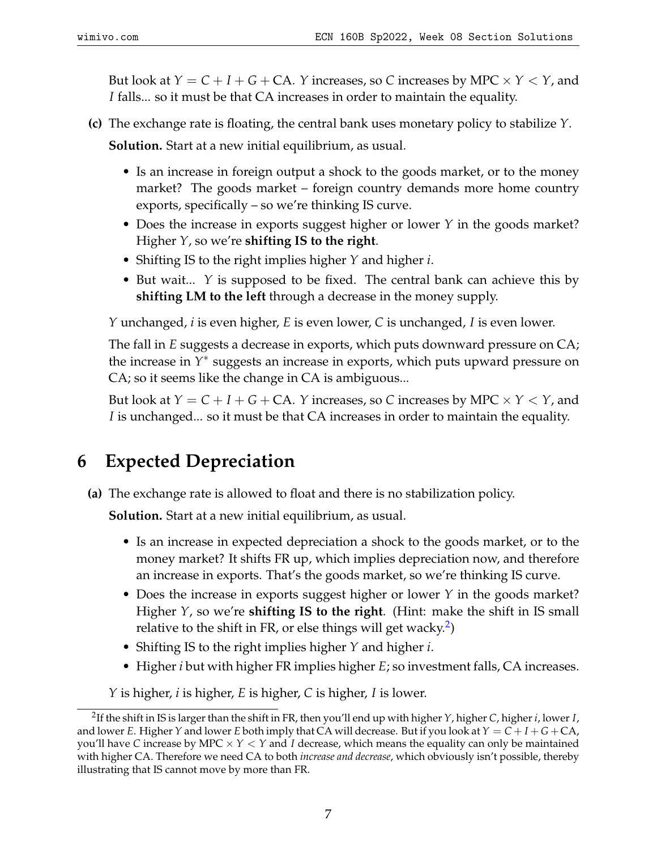But look at  $Y = C + I + G + CA$ . *Y* increases, so *C* increases by MPC  $\times$  *Y*  $\lt$  *Y*, and *I* falls... so it must be that CA increases in order to maintain the equality.

- **(c)** The exchange rate is floating, the central bank uses monetary policy to stabilize *Y*. **Solution.** Start at a new initial equilibrium, as usual.
	- Is an increase in foreign output a shock to the goods market, or to the money market? The goods market – foreign country demands more home country exports, specifically – so we're thinking IS curve.
	- Does the increase in exports suggest higher or lower *Y* in the goods market? Higher *Y*, so we're **shifting IS to the right**.
	- Shifting IS to the right implies higher *Y* and higher *i*.
	- But wait... *Y* is supposed to be fixed. The central bank can achieve this by **shifting LM to the left** through a decrease in the money supply.

*Y* unchanged, *i* is even higher, *E* is even lower, *C* is unchanged, *I* is even lower.

The fall in *E* suggests a decrease in exports, which puts downward pressure on CA; the increase in *Y* ∗ suggests an increase in exports, which puts upward pressure on CA; so it seems like the change in CA is ambiguous...

But look at  $Y = C + I + G + CA$ . *Y* increases, so *C* increases by MPC  $\times$  *Y*  $\lt$  *Y*, and *I* is unchanged... so it must be that CA increases in order to maintain the equality.

## <span id="page-6-0"></span>**6 Expected Depreciation**

**(a)** The exchange rate is allowed to float and there is no stabilization policy.

**Solution.** Start at a new initial equilibrium, as usual.

- Is an increase in expected depreciation a shock to the goods market, or to the money market? It shifts FR up, which implies depreciation now, and therefore an increase in exports. That's the goods market, so we're thinking IS curve.
- Does the increase in exports suggest higher or lower *Y* in the goods market? Higher *Y*, so we're **shifting IS to the right**. (Hint: make the shift in IS small relative to the shift in FR, or else things will get wacky.<sup>[2](#page-6-1)</sup>)
- Shifting IS to the right implies higher *Y* and higher *i*.
- Higher *i* but with higher FR implies higher *E*; so investment falls, CA increases.

*Y* is higher, *i* is higher, *E* is higher, *C* is higher, *I* is lower.

<span id="page-6-1"></span><sup>2</sup> If the shift in IS is larger than the shift in FR, then you'll end up with higher *Y*, higher *C*, higher *i*, lower *I*, and lower *E*. Higher *Y* and lower *E* both imply that CA will decrease. But if you look at  $Y = C + I + G + CA$ , you'll have *C* increase by MPC × *Y* < *Y* and *I* decrease, which means the equality can only be maintained with higher CA. Therefore we need CA to both *increase and decrease*, which obviously isn't possible, thereby illustrating that IS cannot move by more than FR.